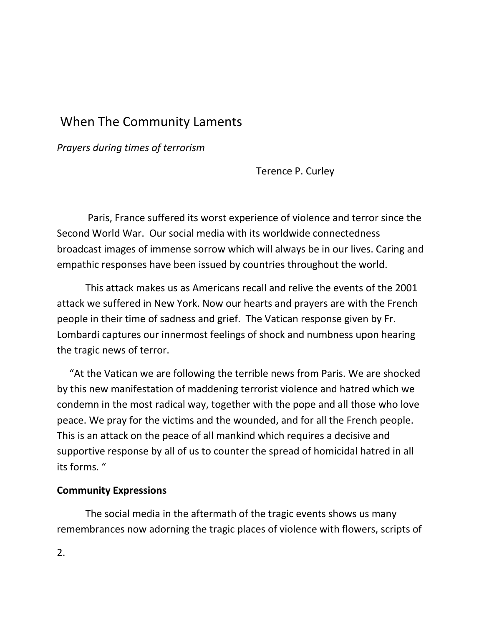# When The Community Laments

*Prayers during times of terrorism*

Terence P. Curley

Paris, France suffered its worst experience of violence and terror since the Second World War. Our social media with its worldwide connectedness broadcast images of immense sorrow which will always be in our lives. Caring and empathic responses have been issued by countries throughout the world.

This attack makes us as Americans recall and relive the events of the 2001 attack we suffered in New York. Now our hearts and prayers are with the French people in their time of sadness and grief. The Vatican response given by Fr. Lombardi captures our innermost feelings of shock and numbness upon hearing the tragic news of terror.

 "At the Vatican we are following the terrible news from Paris. We are shocked by this new manifestation of maddening terrorist violence and hatred which we condemn in the most radical way, together with the pope and all those who love peace. We pray for the victims and the wounded, and for all the French people. This is an attack on the peace of all mankind which requires a decisive and supportive response by all of us to counter the spread of homicidal hatred in all its forms. "

## **Community Expressions**

The social media in the aftermath of the tragic events shows us many remembrances now adorning the tragic places of violence with flowers, scripts of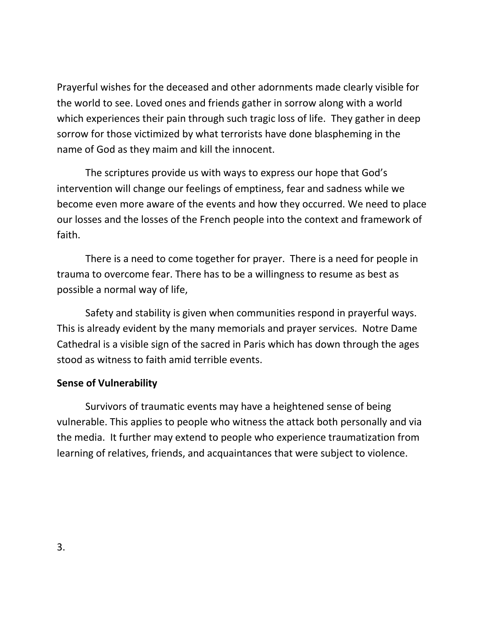Prayerful wishes for the deceased and other adornments made clearly visible for the world to see. Loved ones and friends gather in sorrow along with a world which experiences their pain through such tragic loss of life. They gather in deep sorrow for those victimized by what terrorists have done blaspheming in the name of God as they maim and kill the innocent.

The scriptures provide us with ways to express our hope that God's intervention will change our feelings of emptiness, fear and sadness while we become even more aware of the events and how they occurred. We need to place our losses and the losses of the French people into the context and framework of faith.

There is a need to come together for prayer. There is a need for people in trauma to overcome fear. There has to be a willingness to resume as best as possible a normal way of life,

 Safety and stability is given when communities respond in prayerful ways. This is already evident by the many memorials and prayer services. Notre Dame Cathedral is a visible sign of the sacred in Paris which has down through the ages stood as witness to faith amid terrible events.

## **Sense of Vulnerability**

Survivors of traumatic events may have a heightened sense of being vulnerable. This applies to people who witness the attack both personally and via the media. It further may extend to people who experience traumatization from learning of relatives, friends, and acquaintances that were subject to violence.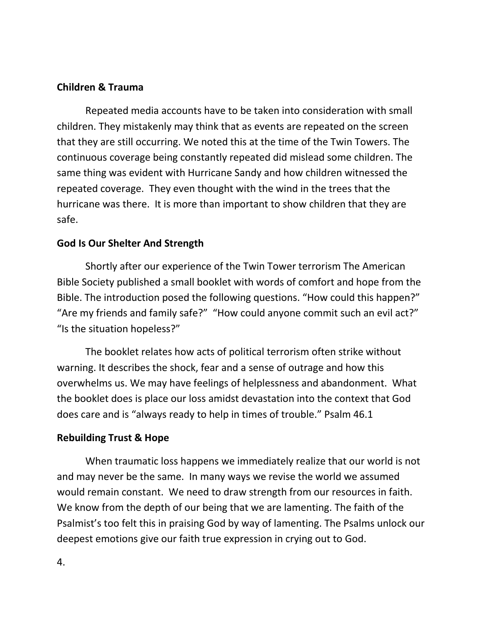# **Children & Trauma**

Repeated media accounts have to be taken into consideration with small children. They mistakenly may think that as events are repeated on the screen that they are still occurring. We noted this at the time of the Twin Towers. The continuous coverage being constantly repeated did mislead some children. The same thing was evident with Hurricane Sandy and how children witnessed the repeated coverage. They even thought with the wind in the trees that the hurricane was there. It is more than important to show children that they are safe.

# **God Is Our Shelter And Strength**

Shortly after our experience of the Twin Tower terrorism The American Bible Society published a small booklet with words of comfort and hope from the Bible. The introduction posed the following questions. "How could this happen?" "Are my friends and family safe?" "How could anyone commit such an evil act?" "Is the situation hopeless?"

The booklet relates how acts of political terrorism often strike without warning. It describes the shock, fear and a sense of outrage and how this overwhelms us. We may have feelings of helplessness and abandonment. What the booklet does is place our loss amidst devastation into the context that God does care and is "always ready to help in times of trouble." Psalm 46.1

# **Rebuilding Trust & Hope**

When traumatic loss happens we immediately realize that our world is not and may never be the same. In many ways we revise the world we assumed would remain constant. We need to draw strength from our resources in faith. We know from the depth of our being that we are lamenting. The faith of the Psalmist's too felt this in praising God by way of lamenting. The Psalms unlock our deepest emotions give our faith true expression in crying out to God.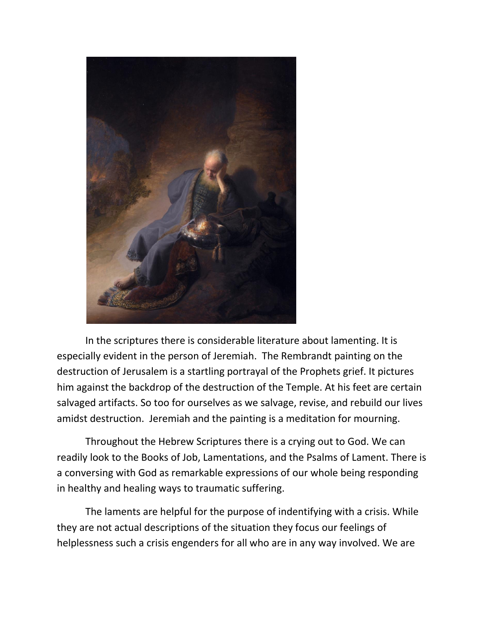

In the scriptures there is considerable literature about lamenting. It is especially evident in the person of Jeremiah. The Rembrandt painting on the destruction of Jerusalem is a startling portrayal of the Prophets grief. It pictures him against the backdrop of the destruction of the Temple. At his feet are certain salvaged artifacts. So too for ourselves as we salvage, revise, and rebuild our lives amidst destruction. Jeremiah and the painting is a meditation for mourning.

Throughout the Hebrew Scriptures there is a crying out to God. We can readily look to the Books of Job, Lamentations, and the Psalms of Lament. There is a conversing with God as remarkable expressions of our whole being responding in healthy and healing ways to traumatic suffering.

The laments are helpful for the purpose of indentifying with a crisis. While they are not actual descriptions of the situation they focus our feelings of helplessness such a crisis engenders for all who are in any way involved. We are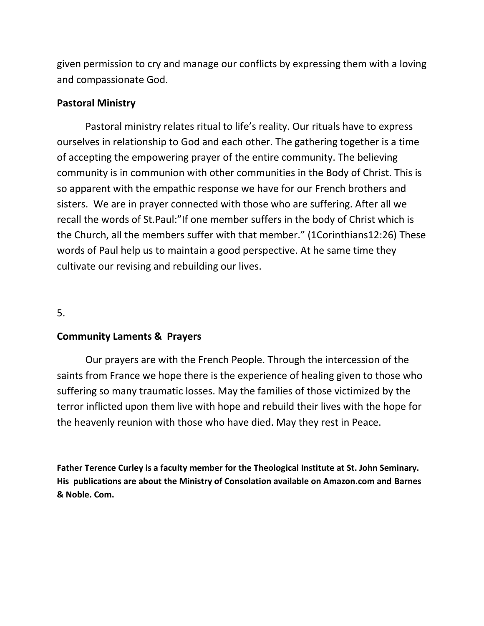given permission to cry and manage our conflicts by expressing them with a loving and compassionate God.

# **Pastoral Ministry**

Pastoral ministry relates ritual to life's reality. Our rituals have to express ourselves in relationship to God and each other. The gathering together is a time of accepting the empowering prayer of the entire community. The believing community is in communion with other communities in the Body of Christ. This is so apparent with the empathic response we have for our French brothers and sisters. We are in prayer connected with those who are suffering. After all we recall the words of St.Paul:"If one member suffers in the body of Christ which is the Church, all the members suffer with that member." (1Corinthians12:26) These words of Paul help us to maintain a good perspective. At he same time they cultivate our revising and rebuilding our lives.

5.

## **Community Laments & Prayers**

Our prayers are with the French People. Through the intercession of the saints from France we hope there is the experience of healing given to those who suffering so many traumatic losses. May the families of those victimized by the terror inflicted upon them live with hope and rebuild their lives with the hope for the heavenly reunion with those who have died. May they rest in Peace.

**Father Terence Curley is a faculty member for the Theological Institute at St. John Seminary. His publications are about the Ministry of Consolation available on Amazon.com and Barnes & Noble. Com.**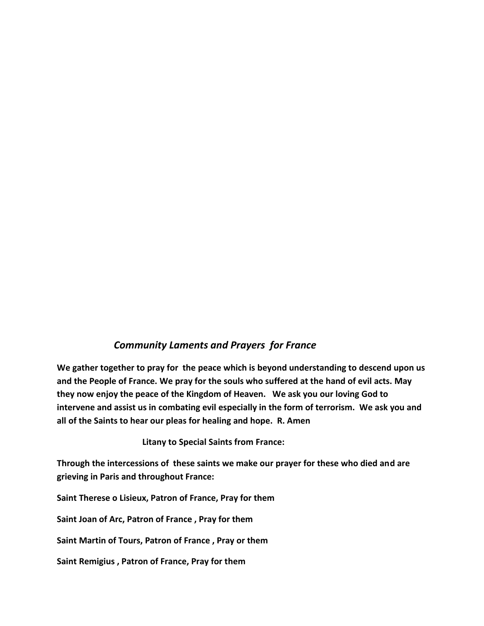#### *Community Laments and Prayers for France*

**We gather together to pray for the peace which is beyond understanding to descend upon us and the People of France. We pray for the souls who suffered at the hand of evil acts. May they now enjoy the peace of the Kingdom of Heaven. We ask you our loving God to intervene and assist us in combating evil especially in the form of terrorism. We ask you and all of the Saints to hear our pleas for healing and hope. R. Amen**

**Litany to Special Saints from France:**

**Through the intercessions of these saints we make our prayer for these who died and are grieving in Paris and throughout France:**

**Saint Therese o Lisieux, Patron of France, Pray for them**

**Saint Joan of Arc, Patron of France , Pray for them**

**Saint Martin of Tours, Patron of France , Pray or them**

**Saint Remigius , Patron of France, Pray for them**